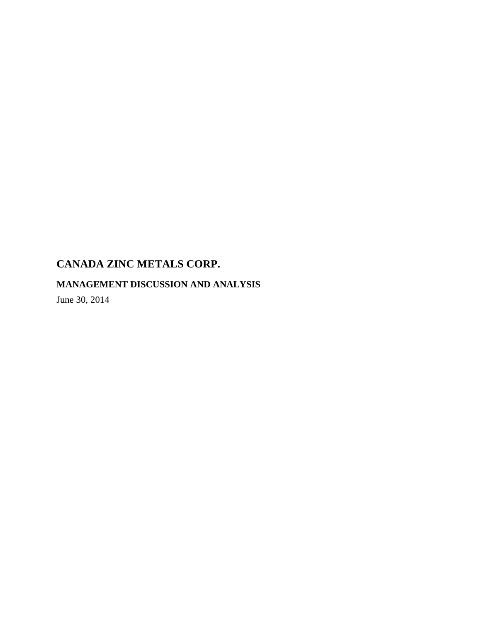# **MANAGEMENT DISCUSSION AND ANALYSIS**

June 30, 2014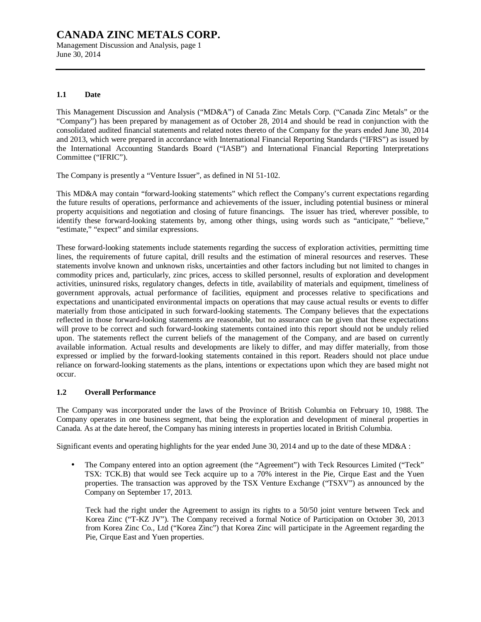Management Discussion and Analysis, page 1 June 30, 2014

## **1.1 Date**

This Management Discussion and Analysis ("MD&A") of Canada Zinc Metals Corp. ("Canada Zinc Metals" or the "Company") has been prepared by management as of October 28, 2014 and should be read in conjunction with the consolidated audited financial statements and related notes thereto of the Company for the years ended June 30, 2014 and 2013, which were prepared in accordance with International Financial Reporting Standards ("IFRS") as issued by the International Accounting Standards Board ("IASB") and International Financial Reporting Interpretations Committee ("IFRIC").

The Company is presently a "Venture Issuer", as defined in NI 51-102.

This MD&A may contain "forward-looking statements" which reflect the Company's current expectations regarding the future results of operations, performance and achievements of the issuer, including potential business or mineral property acquisitions and negotiation and closing of future financings. The issuer has tried, wherever possible, to identify these forward-looking statements by, among other things, using words such as "anticipate," "believe," "estimate," "expect" and similar expressions.

These forward-looking statements include statements regarding the success of exploration activities, permitting time lines, the requirements of future capital, drill results and the estimation of mineral resources and reserves. These statements involve known and unknown risks, uncertainties and other factors including but not limited to changes in commodity prices and, particularly, zinc prices, access to skilled personnel, results of exploration and development activities, uninsured risks, regulatory changes, defects in title, availability of materials and equipment, timeliness of government approvals, actual performance of facilities, equipment and processes relative to specifications and expectations and unanticipated environmental impacts on operations that may cause actual results or events to differ materially from those anticipated in such forward-looking statements. The Company believes that the expectations reflected in those forward-looking statements are reasonable, but no assurance can be given that these expectations will prove to be correct and such forward-looking statements contained into this report should not be unduly relied upon. The statements reflect the current beliefs of the management of the Company, and are based on currently available information. Actual results and developments are likely to differ, and may differ materially, from those expressed or implied by the forward-looking statements contained in this report. Readers should not place undue reliance on forward-looking statements as the plans, intentions or expectations upon which they are based might not occur.

## **1.2 Overall Performance**

The Company was incorporated under the laws of the Province of British Columbia on February 10, 1988. The Company operates in one business segment, that being the exploration and development of mineral properties in Canada. As at the date hereof, the Company has mining interests in properties located in British Columbia.

Significant events and operating highlights for the year ended June 30, 2014 and up to the date of these MD&A :

• The Company entered into an option agreement (the "Agreement") with Teck Resources Limited ("Teck" TSX: TCK.B) that would see Teck acquire up to a 70% interest in the Pie, Cirque East and the Yuen properties. The transaction was approved by the TSX Venture Exchange ("TSXV") as announced by the Company on September 17, 2013.

Teck had the right under the Agreement to assign its rights to a 50/50 joint venture between Teck and Korea Zinc ("T-KZ JV"). The Company received a formal Notice of Participation on October 30, 2013 from Korea Zinc Co., Ltd ("Korea Zinc") that Korea Zinc will participate in the Agreement regarding the Pie, Cirque East and Yuen properties.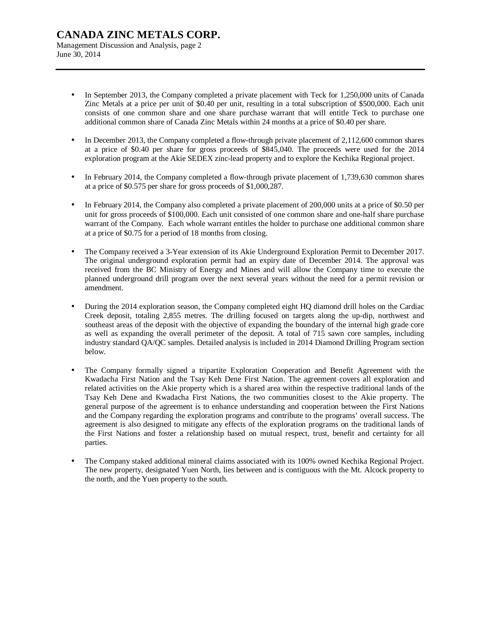Management Discussion and Analysis, page 2 June 30, 2014

- In September 2013, the Company completed a private placement with Teck for 1,250,000 units of Canada Zinc Metals at a price per unit of \$0.40 per unit, resulting in a total subscription of \$500,000. Each unit consists of one common share and one share purchase warrant that will entitle Teck to purchase one additional common share of Canada Zinc Metals within 24 months at a price of \$0.40 per share.
- In December 2013, the Company completed a flow-through private placement of 2,112,600 common shares at a price of \$0.40 per share for gross proceeds of \$845,040. The proceeds were used for the 2014 exploration program at the Akie SEDEX zinc-lead property and to explore the Kechika Regional project.
- In February 2014, the Company completed a flow-through private placement of 1,739,630 common shares at a price of \$0.575 per share for gross proceeds of \$1,000,287.
- In February 2014, the Company also completed a private placement of 200,000 units at a price of \$0.50 per unit for gross proceeds of \$100,000. Each unit consisted of one common share and one-half share purchase warrant of the Company. Each whole warrant entitles the holder to purchase one additional common share at a price of \$0.75 for a period of 18 months from closing.
- The Company received a 3-Year extension of its Akie Underground Exploration Permit to December 2017. The original underground exploration permit had an expiry date of December 2014. The approval was received from the BC Ministry of Energy and Mines and will allow the Company time to execute the planned underground drill program over the next several years without the need for a permit revision or amendment.
- During the 2014 exploration season, the Company completed eight HQ diamond drill holes on the Cardiac Creek deposit, totaling 2,855 metres. The drilling focused on targets along the up-dip, northwest and southeast areas of the deposit with the objective of expanding the boundary of the internal high grade core as well as expanding the overall perimeter of the deposit. A total of 715 sawn core samples, including industry standard QA/QC samples. Detailed analysis is included in 2014 Diamond Drilling Program section below.
- The Company formally signed a tripartite Exploration Cooperation and Benefit Agreement with the Kwadacha First Nation and the Tsay Keh Dene First Nation. The agreement covers all exploration and related activities on the Akie property which is a shared area within the respective traditional lands of the Tsay Keh Dene and Kwadacha First Nations, the two communities closest to the Akie property. The general purpose of the agreement is to enhance understanding and cooperation between the First Nations and the Company regarding the exploration programs and contribute to the programs' overall success. The agreement is also designed to mitigate any effects of the exploration programs on the traditional lands of the First Nations and foster a relationship based on mutual respect, trust, benefit and certainty for all parties.
- The Company staked additional mineral claims associated with its 100% owned Kechika Regional Project. The new property, designated Yuen North, lies between and is contiguous with the Mt. Alcock property to the north, and the Yuen property to the south.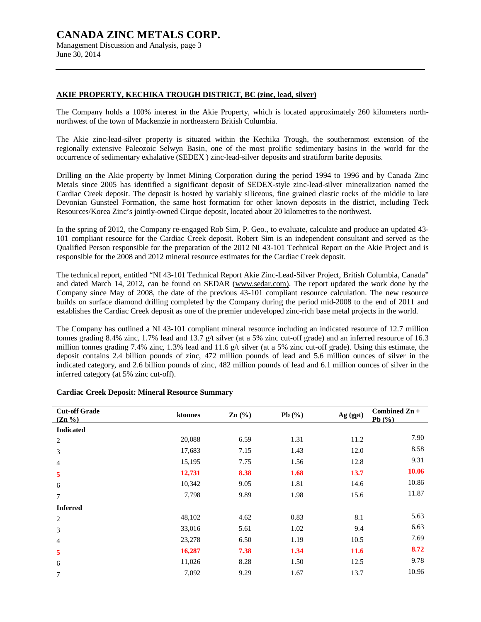Management Discussion and Analysis, page 3 June 30, 2014

### **AKIE PROPERTY, KECHIKA TROUGH DISTRICT, BC (zinc, lead, silver)**

The Company holds a 100% interest in the Akie Property, which is located approximately 260 kilometers northnorthwest of the town of Mackenzie in northeastern British Columbia.

The Akie zinc-lead-silver property is situated within the Kechika Trough, the southernmost extension of the regionally extensive Paleozoic Selwyn Basin, one of the most prolific sedimentary basins in the world for the occurrence of sedimentary exhalative (SEDEX ) zinc-lead-silver deposits and stratiform barite deposits.

Drilling on the Akie property by Inmet Mining Corporation during the period 1994 to 1996 and by Canada Zinc Metals since 2005 has identified a significant deposit of SEDEX-style zinc-lead-silver mineralization named the Cardiac Creek deposit. The deposit is hosted by variably siliceous, fine grained clastic rocks of the middle to late Devonian Gunsteel Formation, the same host formation for other known deposits in the district, including Teck Resources/Korea Zinc's jointly-owned Cirque deposit, located about 20 kilometres to the northwest.

In the spring of 2012, the Company re-engaged Rob Sim, P. Geo., to evaluate, calculate and produce an updated 43- 101 compliant resource for the Cardiac Creek deposit. Robert Sim is an independent consultant and served as the Qualified Person responsible for the preparation of the 2012 NI 43-101 Technical Report on the Akie Project and is responsible for the 2008 and 2012 mineral resource estimates for the Cardiac Creek deposit.

The technical report, entitled "NI 43-101 Technical Report Akie Zinc-Lead-Silver Project, British Columbia, Canada" and dated March 14, 2012, can be found on SEDAR ([www.sedar.com\).](http://www.sedar.com)) The report updated the work done by the Company since May of 2008, the date of the previous 43-101 compliant resource calculation. The new resource builds on surface diamond drilling completed by the Company during the period mid-2008 to the end of 2011 and establishes the Cardiac Creek deposit as one of the premier undeveloped zinc-rich base metal projects in the world.

The Company has outlined a NI 43-101 compliant mineral resource including an indicated resource of 12.7 million tonnes grading 8.4% zinc, 1.7% lead and 13.7 g/t silver (at a 5% zinc cut-off grade) and an inferred resource of 16.3 million tonnes grading 7.4% zinc, 1.3% lead and 11.6 g/t silver (at a 5% zinc cut-off grade). Using this estimate, the deposit contains 2.4 billion pounds of zinc, 472 million pounds of lead and 5.6 million ounces of silver in the indicated category, and 2.6 billion pounds of zinc, 482 million pounds of lead and 6.1 million ounces of silver in the inferred category (at 5% zinc cut-off).

| <b>Cut-off Grade</b><br>$(Zn\% )$ | ktonnes | $\mathbf{Zn}$ (%) | Pb $(\%)$ | Ag (gpt)    | Combined Zn +<br>Pb $(\%)$ |
|-----------------------------------|---------|-------------------|-----------|-------------|----------------------------|
| <b>Indicated</b>                  |         |                   |           |             |                            |
| 2                                 | 20,088  | 6.59              | 1.31      | 11.2        | 7.90                       |
| 3                                 | 17,683  | 7.15              | 1.43      | 12.0        | 8.58                       |
| 4                                 | 15,195  | 7.75              | 1.56      | 12.8        | 9.31                       |
| 5                                 | 12,731  | 8.38              | 1.68      | 13.7        | 10.06                      |
| 6                                 | 10,342  | 9.05              | 1.81      | 14.6        | 10.86                      |
| 7                                 | 7,798   | 9.89              | 1.98      | 15.6        | 11.87                      |
| <b>Inferred</b>                   |         |                   |           |             |                            |
| 2                                 | 48,102  | 4.62              | 0.83      | 8.1         | 5.63                       |
| 3                                 | 33,016  | 5.61              | 1.02      | 9.4         | 6.63                       |
| 4                                 | 23,278  | 6.50              | 1.19      | 10.5        | 7.69                       |
| 5                                 | 16,287  | 7.38              | 1.34      | <b>11.6</b> | 8.72                       |
| 6                                 | 11,026  | 8.28              | 1.50      | 12.5        | 9.78                       |
| 7                                 | 7,092   | 9.29              | 1.67      | 13.7        | 10.96                      |

#### **Cardiac Creek Deposit: Mineral Resource Summary**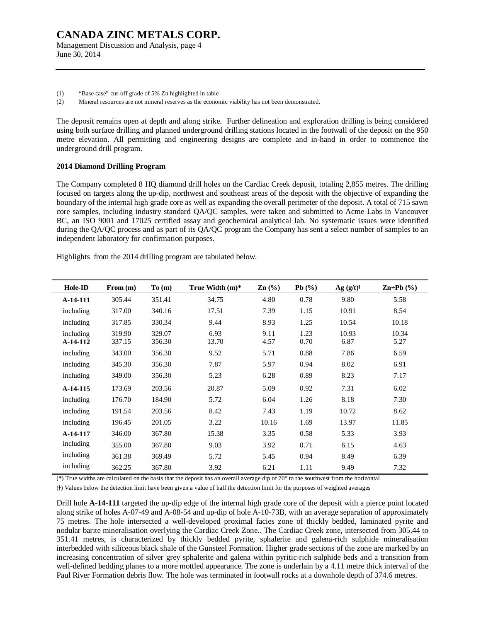Management Discussion and Analysis, page 4 June 30, 2014

(1) "Base case" cut-off grade of 5% Zn highlighted in table

(2) Mineral resources are not mineral reserves as the economic viability has not been demonstrated.

The deposit remains open at depth and along strike. Further delineation and exploration drilling is being considered using both surface drilling and planned underground drilling stations located in the footwall of the deposit on the 950 metre elevation. All permitting and engineering designs are complete and in-hand in order to commence the underground drill program.

#### **2014 Diamond Drilling Program**

The Company completed 8 HQ diamond drill holes on the Cardiac Creek deposit, totaling 2,855 metres. The drilling focused on targets along the up-dip, northwest and southeast areas of the deposit with the objective of expanding the boundary of the internal high grade core as well as expanding the overall perimeter of the deposit. A total of 715 sawn core samples, including industry standard QA/QC samples, were taken and submitted to Acme Labs in Vancouver BC, an ISO 9001 and 17025 certified assay and geochemical analytical lab. No systematic issues were identified during the QA/QC process and as part of its QA/QC program the Company has sent a select number of samples to an independent laboratory for confirmation purposes.

Highlights from the 2014 drilling program are tabulated below.

| Hole-ID               | From (m)         | To(m)            | True Width (m)* | $\text{Zn}$ (%) | Pb(%)        | $Ag (g/t)^{\dagger}$ | $\mathbf{Zn+Pb}$ (%) |
|-----------------------|------------------|------------------|-----------------|-----------------|--------------|----------------------|----------------------|
| A-14-111              | 305.44           | 351.41           | 34.75           | 4.80            | 0.78         | 9.80                 | 5.58                 |
| including             | 317.00           | 340.16           | 17.51           | 7.39            | 1.15         | 10.91                | 8.54                 |
| including             | 317.85           | 330.34           | 9.44            | 8.93            | 1.25         | 10.54                | 10.18                |
| including<br>A-14-112 | 319.90<br>337.15 | 329.07<br>356.30 | 6.93<br>13.70   | 9.11<br>4.57    | 1.23<br>0.70 | 10.93<br>6.87        | 10.34<br>5.27        |
| including             | 343.00           | 356.30           | 9.52            | 5.71            | 0.88         | 7.86                 | 6.59                 |
| including             | 345.30           | 356.30           | 7.87            | 5.97            | 0.94         | 8.02                 | 6.91                 |
| including             | 349.00           | 356.30           | 5.23            | 6.28            | 0.89         | 8.23                 | 7.17                 |
| A-14-115              | 173.69           | 203.56           | 20.87           | 5.09            | 0.92         | 7.31                 | 6.02                 |
| including             | 176.70           | 184.90           | 5.72            | 6.04            | 1.26         | 8.18                 | 7.30                 |
| including             | 191.54           | 203.56           | 8.42            | 7.43            | 1.19         | 10.72                | 8.62                 |
| including             | 196.45           | 201.05           | 3.22            | 10.16           | 1.69         | 13.97                | 11.85                |
| A-14-117              | 346.00           | 367.80           | 15.38           | 3.35            | 0.58         | 5.33                 | 3.93                 |
| including             | 355.00           | 367.80           | 9.03            | 3.92            | 0.71         | 6.15                 | 4.63                 |
| including             | 361.38           | 369.49           | 5.72            | 5.45            | 0.94         | 8.49                 | 6.39                 |
| including             | 362.25           | 367.80           | 3.92            | 6.21            | 1.11         | 9.49                 | 7.32                 |

(\*) True widths are calculated on the basis that the deposit has an overall average dip of  $70^{\circ}$  to the southwest from the horizontal

(Ɨ) Values below the detection limit have been given a value of half the detection limit for the purposes of weighted averages

Drill hole **A-14-111** targeted the up-dip edge of the internal high grade core of the deposit with a pierce point located along strike of holes A-07-49 and A-08-54 and up-dip of hole A-10-73B, with an average separation of approximately 75 metres. The hole intersected a well-developed proximal facies zone of thickly bedded, laminated pyrite and nodular barite mineralisation overlying the Cardiac Creek Zone.. The Cardiac Creek zone, intersected from 305.44 to 351.41 metres, is characterized by thickly bedded pyrite, sphalerite and galena-rich sulphide mineralisation interbedded with siliceous black shale of the Gunsteel Formation. Higher grade sections of the zone are marked by an increasing concentration of silver grey sphalerite and galena within pyritic-rich sulphide beds and a transition from well-defined bedding planes to a more mottled appearance. The zone is underlain by a 4.11 metre thick interval of the Paul River Formation debris flow. The hole was terminated in footwall rocks at a downhole depth of 374.6 metres.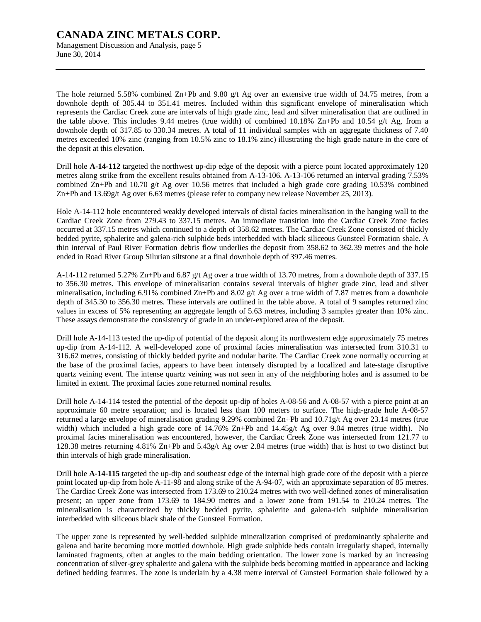Management Discussion and Analysis, page 5 June 30, 2014

The hole returned 5.58% combined Zn+Pb and 9.80 g/t Ag over an extensive true width of 34.75 metres, from a downhole depth of 305.44 to 351.41 metres. Included within this significant envelope of mineralisation which represents the Cardiac Creek zone are intervals of high grade zinc, lead and silver mineralisation that are outlined in the table above. This includes 9.44 metres (true width) of combined 10.18% Zn+Pb and 10.54 g/t Ag, from a downhole depth of 317.85 to 330.34 metres. A total of 11 individual samples with an aggregate thickness of 7.40 metres exceeded 10% zinc (ranging from 10.5% zinc to 18.1% zinc) illustrating the high grade nature in the core of the deposit at this elevation.

Drill hole **A-14-112** targeted the northwest up-dip edge of the deposit with a pierce point located approximately 120 metres along strike from the excellent results obtained from A-13-106. A-13-106 returned an interval grading 7.53% combined Zn+Pb and 10.70 g/t Ag over 10.56 metres that included a high grade core grading 10.53% combined Zn+Pb and 13.69g/t Ag over 6.63 metres (please refer to company new release November 25, 2013).

Hole A-14-112 hole encountered weakly developed intervals of distal facies mineralisation in the hanging wall to the Cardiac Creek Zone from 279.43 to 337.15 metres. An immediate transition into the Cardiac Creek Zone facies occurred at 337.15 metres which continued to a depth of 358.62 metres. The Cardiac Creek Zone consisted of thickly bedded pyrite, sphalerite and galena-rich sulphide beds interbedded with black siliceous Gunsteel Formation shale. A thin interval of Paul River Formation debris flow underlies the deposit from 358.62 to 362.39 metres and the hole ended in Road River Group Silurian siltstone at a final downhole depth of 397.46 metres.

A-14-112 returned 5.27% Zn+Pb and 6.87 g/t Ag over a true width of 13.70 metres, from a downhole depth of 337.15 to 356.30 metres. This envelope of mineralisation contains several intervals of higher grade zinc, lead and silver mineralisation, including 6.91% combined Zn+Pb and 8.02 g/t Ag over a true width of 7.87 metres from a downhole depth of 345.30 to 356.30 metres. These intervals are outlined in the table above. A total of 9 samples returned zinc values in excess of 5% representing an aggregate length of 5.63 metres, including 3 samples greater than 10% zinc. These assays demonstrate the consistency of grade in an under-explored area of the deposit.

Drill hole A-14-113 tested the up-dip of potential of the deposit along its northwestern edge approximately 75 metres up-dip from A-14-112. A well-developed zone of proximal facies mineralisation was intersected from 310.31 to 316.62 metres, consisting of thickly bedded pyrite and nodular barite. The Cardiac Creek zone normally occurring at the base of the proximal facies, appears to have been intensely disrupted by a localized and late-stage disruptive quartz veining event. The intense quartz veining was not seen in any of the neighboring holes and is assumed to be limited in extent. The proximal facies zone returned nominal results.

Drill hole A-14-114 tested the potential of the deposit up-dip of holes A-08-56 and A-08-57 with a pierce point at an approximate 60 metre separation; and is located less than 100 meters to surface. The high-grade hole A-08-57 returned a large envelope of mineralisation grading 9.29% combined Zn+Pb and 10.71g/t Ag over 23.14 metres (true width) which included a high grade core of 14.76% Zn+Pb and 14.45g/t Ag over 9.04 metres (true width). No proximal facies mineralisation was encountered, however, the Cardiac Creek Zone was intersected from 121.77 to 128.38 metres returning 4.81% Zn+Pb and 5.43g/t Ag over 2.84 metres (true width) that is host to two distinct but thin intervals of high grade mineralisation.

Drill hole **A-14-115** targeted the up-dip and southeast edge of the internal high grade core of the deposit with a pierce point located up-dip from hole A-11-98 and along strike of the A-94-07, with an approximate separation of 85 metres. The Cardiac Creek Zone was intersected from 173.69 to 210.24 metres with two well-defined zones of mineralisation present; an upper zone from 173.69 to 184.90 metres and a lower zone from 191.54 to 210.24 metres. The mineralisation is characterized by thickly bedded pyrite, sphalerite and galena-rich sulphide mineralisation interbedded with siliceous black shale of the Gunsteel Formation.

The upper zone is represented by well-bedded sulphide mineralization comprised of predominantly sphalerite and galena and barite becoming more mottled downhole. High grade sulphide beds contain irregularly shaped, internally laminated fragments, often at angles to the main bedding orientation. The lower zone is marked by an increasing concentration of silver-grey sphalerite and galena with the sulphide beds becoming mottled in appearance and lacking defined bedding features. The zone is underlain by a 4.38 metre interval of Gunsteel Formation shale followed by a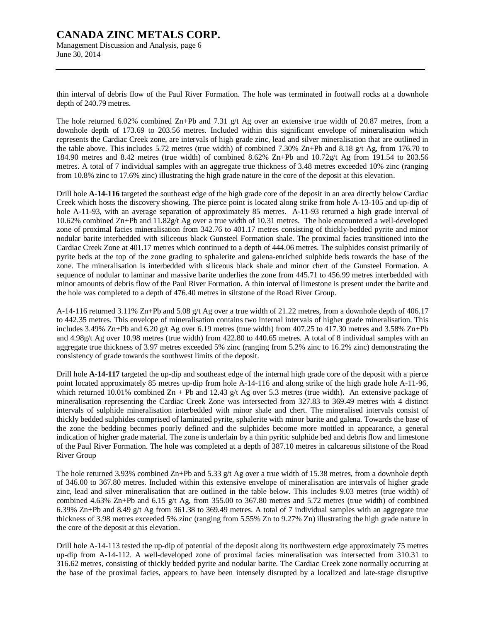Management Discussion and Analysis, page 6 June 30, 2014

thin interval of debris flow of the Paul River Formation. The hole was terminated in footwall rocks at a downhole depth of 240.79 metres.

The hole returned 6.02% combined Zn+Pb and 7.31 g/t Ag over an extensive true width of 20.87 metres, from a downhole depth of 173.69 to 203.56 metres. Included within this significant envelope of mineralisation which represents the Cardiac Creek zone, are intervals of high grade zinc, lead and silver mineralisation that are outlined in the table above. This includes 5.72 metres (true width) of combined 7.30% Zn+Pb and 8.18 g/t Ag, from 176.70 to 184.90 metres and 8.42 metres (true width) of combined 8.62% Zn+Pb and 10.72g/t Ag from 191.54 to 203.56 metres. A total of 7 individual samples with an aggregate true thickness of 3.48 metres exceeded 10% zinc (ranging from 10.8% zinc to 17.6% zinc) illustrating the high grade nature in the core of the deposit at this elevation.

Drill hole **A-14-116** targeted the southeast edge of the high grade core of the deposit in an area directly below Cardiac Creek which hosts the discovery showing. The pierce point is located along strike from hole A-13-105 and up-dip of hole A-11-93, with an average separation of approximately 85 metres. A-11-93 returned a high grade interval of 10.62% combined Zn+Pb and 11.82g/t Ag over a true width of 10.31 metres. The hole encountered a well-developed zone of proximal facies mineralisation from 342.76 to 401.17 metres consisting of thickly-bedded pyrite and minor nodular barite interbedded with siliceous black Gunsteel Formation shale. The proximal facies transitioned into the Cardiac Creek Zone at 401.17 metres which continued to a depth of 444.06 metres. The sulphides consist primarily of pyrite beds at the top of the zone grading to sphalerite and galena-enriched sulphide beds towards the base of the zone. The mineralisation is interbedded with siliceous black shale and minor chert of the Gunsteel Formation. A sequence of nodular to laminar and massive barite underlies the zone from 445.71 to 456.99 metres interbedded with minor amounts of debris flow of the Paul River Formation. A thin interval of limestone is present under the barite and the hole was completed to a depth of 476.40 metres in siltstone of the Road River Group.

A-14-116 returned 3.11% Zn+Pb and 5.08 g/t Ag over a true width of 21.22 metres, from a downhole depth of 406.17 to 442.35 metres. This envelope of mineralisation contains two internal intervals of higher grade mineralisation. This includes 3.49% Zn+Pb and 6.20 g/t Ag over 6.19 metres (true width) from 407.25 to 417.30 metres and 3.58% Zn+Pb and 4.98g/t Ag over 10.98 metres (true width) from 422.80 to 440.65 metres. A total of 8 individual samples with an aggregate true thickness of 3.97 metres exceeded 5% zinc (ranging from 5.2% zinc to 16.2% zinc) demonstrating the consistency of grade towards the southwest limits of the deposit.

Drill hole **A-14-117** targeted the up-dip and southeast edge of the internal high grade core of the deposit with a pierce point located approximately 85 metres up-dip from hole A-14-116 and along strike of the high grade hole A-11-96, which returned 10.01% combined Zn + Pb and 12.43 g/t Ag over 5.3 metres (true width). An extensive package of mineralisation representing the Cardiac Creek Zone was intersected from 327.83 to 369.49 metres with 4 distinct intervals of sulphide mineralisation interbedded with minor shale and chert. The mineralised intervals consist of thickly bedded sulphides comprised of laminated pyrite, sphalerite with minor barite and galena. Towards the base of the zone the bedding becomes poorly defined and the sulphides become more mottled in appearance, a general indication of higher grade material. The zone is underlain by a thin pyritic sulphide bed and debris flow and limestone of the Paul River Formation. The hole was completed at a depth of 387.10 metres in calcareous siltstone of the Road River Group

The hole returned 3.93% combined Zn+Pb and 5.33 g/t Ag over a true width of 15.38 metres, from a downhole depth of 346.00 to 367.80 metres. Included within this extensive envelope of mineralisation are intervals of higher grade zinc, lead and silver mineralisation that are outlined in the table below. This includes 9.03 metres (true width) of combined 4.63% Zn+Pb and 6.15 g/t Ag, from 355.00 to 367.80 metres and 5.72 metres (true width) of combined 6.39% Zn+Pb and 8.49 g/t Ag from 361.38 to 369.49 metres. A total of 7 individual samples with an aggregate true thickness of 3.98 metres exceeded 5% zinc (ranging from 5.55% Zn to 9.27% Zn) illustrating the high grade nature in the core of the deposit at this elevation.

Drill hole A-14-113 tested the up-dip of potential of the deposit along its northwestern edge approximately 75 metres up-dip from A-14-112. A well-developed zone of proximal facies mineralisation was intersected from 310.31 to 316.62 metres, consisting of thickly bedded pyrite and nodular barite. The Cardiac Creek zone normally occurring at the base of the proximal facies, appears to have been intensely disrupted by a localized and late-stage disruptive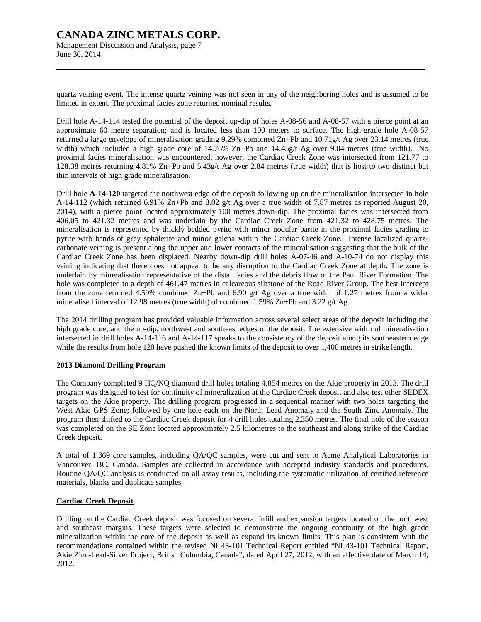Management Discussion and Analysis, page 7 June 30, 2014

quartz veining event. The intense quartz veining was not seen in any of the neighboring holes and is assumed to be limited in extent. The proximal facies zone returned nominal results.

Drill hole A-14-114 tested the potential of the deposit up-dip of holes A-08-56 and A-08-57 with a pierce point at an approximate 60 metre separation; and is located less than 100 meters to surface. The high-grade hole A-08-57 returned a large envelope of mineralisation grading 9.29% combined Zn+Pb and 10.71g/t Ag over 23.14 metres (true width) which included a high grade core of  $14.76\%$  Zn+Pb and  $14.45g/t$  Ag over 9.04 metres (true width). No proximal facies mineralisation was encountered, however, the Cardiac Creek Zone was intersected from 121.77 to 128.38 metres returning 4.81% Zn+Pb and 5.43g/t Ag over 2.84 metres (true width) that is host to two distinct but thin intervals of high grade mineralisation.

Drill hole **A-14-120** targeted the northwest edge of the deposit following up on the mineralisation intersected in hole A-14-112 (which returned 6.91% Zn+Pb and 8.02 g/t Ag over a true width of 7.87 metres as reported August 20, 2014), with a pierce point located approximately 100 metres down-dip. The proximal facies was intersected from 406.05 to 421.32 metres and was underlain by the Cardiac Creek Zone from 421.32 to 428.75 metres. The mineralisation is represented by thickly bedded pyrite with minor nodular barite in the proximal facies grading to pyrite with bands of grey sphalerite and minor galena within the Cardiac Creek Zone. Intense localized quartzcarbonate veining is present along the upper and lower contacts of the mineralisation suggesting that the bulk of the Cardiac Creek Zone has been displaced. Nearby down-dip drill holes A-07-46 and A-10-74 do not display this veining indicating that there does not appear to be any disruption to the Cardiac Creek Zone at depth. The zone is underlain by mineralisation representative of the distal facies and the debris flow of the Paul River Formation. The hole was completed to a depth of 461.47 metres in calcareous siltstone of the Road River Group. The best intercept from the zone returned 4.59% combined Zn+Pb and 6.90 g/t Ag over a true width of 1.27 metres from a wider mineralised interval of 12.98 metres (true width) of combined 1.59% Zn+Pb and 3.22 g/t Ag.

The 2014 drilling program has provided valuable information across several select areas of the deposit including the high grade core, and the up-dip, northwest and southeast edges of the deposit. The extensive width of mineralisation intersected in drill holes A-14-116 and A-14-117 speaks to the consistency of the deposit along its southeastern edge while the results from hole 120 have pushed the known limits of the deposit to over 1,400 metres in strike length.

## **2013 Diamond Drilling Program**

The Company completed 9 HQ/NQ diamond drill holes totaling 4,854 metres on the Akie property in 2013. The drill program was designed to test for continuity of mineralization at the Cardiac Creek deposit and also test other SEDEX targets on the Akie property. The drilling program progressed in a sequential manner with two holes targeting the West Akie GPS Zone; followed by one hole each on the North Lead Anomaly and the South Zinc Anomaly. The program then shifted to the Cardiac Creek deposit for 4 drill holes totaling 2,350 metres. The final hole of the season was completed on the SE Zone located approximately 2.5 kilometres to the southeast and along strike of the Cardiac Creek deposit.

A total of 1,369 core samples, including QA/QC samples, were cut and sent to Acme Analytical Laboratories in Vancouver, BC, Canada. Samples are collected in accordance with accepted industry standards and procedures. Routine QA/QC analysis is conducted on all assay results, including the systematic utilization of certified reference materials, blanks and duplicate samples.

## **Cardiac Creek Deposit**

Drilling on the Cardiac Creek deposit was focused on several infill and expansion targets located on the northwest and southeast margins. These targets were selected to demonstrate the ongoing continuity of the high grade mineralization within the core of the deposit as well as expand its known limits. This plan is consistent with the recommendations contained within the revised NI 43-101 Technical Report entitled "NI 43-101 Technical Report, Akie Zinc-Lead-Silver Project, British Columbia, Canada", dated April 27, 2012, with an effective date of March 14, 2012.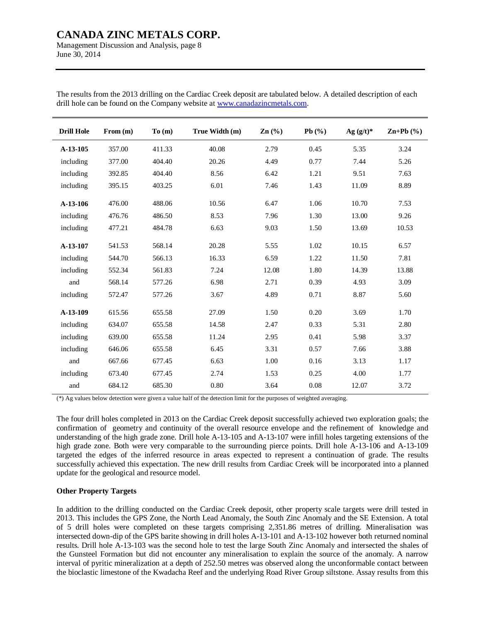Management Discussion and Analysis, page 8 June 30, 2014

| <b>Drill Hole</b> | From (m) | To(m)  | True Width (m) | $\text{Zn}$ $\left(\frac{9}{6}\right)$ | Pb $(\%)$ | Ag $(g/t)^*$ | $\mathbf{Zn} + \mathbf{Pb}$ (%) |
|-------------------|----------|--------|----------------|----------------------------------------|-----------|--------------|---------------------------------|
| A-13-105          | 357.00   | 411.33 | 40.08          | 2.79                                   | 0.45      | 5.35         | 3.24                            |
| including         | 377.00   | 404.40 | 20.26          | 4.49                                   | 0.77      | 7.44         | 5.26                            |
| including         | 392.85   | 404.40 | 8.56           | 6.42                                   | 1.21      | 9.51         | 7.63                            |
| including         | 395.15   | 403.25 | 6.01           | 7.46                                   | 1.43      | 11.09        | 8.89                            |
| A-13-106          | 476.00   | 488.06 | 10.56          | 6.47                                   | 1.06      | 10.70        | 7.53                            |
| including         | 476.76   | 486.50 | 8.53           | 7.96                                   | 1.30      | 13.00        | 9.26                            |
| including         | 477.21   | 484.78 | 6.63           | 9.03                                   | 1.50      | 13.69        | 10.53                           |
| A-13-107          | 541.53   | 568.14 | 20.28          | 5.55                                   | 1.02      | 10.15        | 6.57                            |
| including         | 544.70   | 566.13 | 16.33          | 6.59                                   | 1.22      | 11.50        | 7.81                            |
| including         | 552.34   | 561.83 | 7.24           | 12.08                                  | 1.80      | 14.39        | 13.88                           |
| and               | 568.14   | 577.26 | 6.98           | 2.71                                   | 0.39      | 4.93         | 3.09                            |
| including         | 572.47   | 577.26 | 3.67           | 4.89                                   | 0.71      | 8.87         | 5.60                            |
| A-13-109          | 615.56   | 655.58 | 27.09          | 1.50                                   | 0.20      | 3.69         | 1.70                            |
| including         | 634.07   | 655.58 | 14.58          | 2.47                                   | 0.33      | 5.31         | 2.80                            |
| including         | 639.00   | 655.58 | 11.24          | 2.95                                   | 0.41      | 5.98         | 3.37                            |
| including         | 646.06   | 655.58 | 6.45           | 3.31                                   | 0.57      | 7.66         | 3.88                            |
| and               | 667.66   | 677.45 | 6.63           | 1.00                                   | 0.16      | 3.13         | 1.17                            |
| including         | 673.40   | 677.45 | 2.74           | 1.53                                   | 0.25      | 4.00         | 1.77                            |
| and               | 684.12   | 685.30 | 0.80           | 3.64                                   | 0.08      | 12.07        | 3.72                            |

The results from the 2013 drilling on the Cardiac Creek deposit are tabulated below. A detailed description of each drill hole can be found on the Company website at [www.canadazincmetals.com.](http://www.canadazincmetals.com)

(\*) Ag values below detection were given a value half of the detection limit for the purposes of weighted averaging.

The four drill holes completed in 2013 on the Cardiac Creek deposit successfully achieved two exploration goals; the confirmation of geometry and continuity of the overall resource envelope and the refinement of knowledge and understanding of the high grade zone. Drill hole A-13-105 and A-13-107 were infill holes targeting extensions of the high grade zone. Both were very comparable to the surrounding pierce points. Drill hole A-13-106 and A-13-109 targeted the edges of the inferred resource in areas expected to represent a continuation of grade. The results successfully achieved this expectation. The new drill results from Cardiac Creek will be incorporated into a planned update for the geological and resource model.

#### **Other Property Targets**

In addition to the drilling conducted on the Cardiac Creek deposit, other property scale targets were drill tested in 2013. This includes the GPS Zone, the North Lead Anomaly, the South Zinc Anomaly and the SE Extension. A total of 5 drill holes were completed on these targets comprising 2,351.86 metres of drilling. Mineralisation was intersected down-dip of the GPS barite showing in drill holes A-13-101 and A-13-102 however both returned nominal results. Drill hole A-13-103 was the second hole to test the large South Zinc Anomaly and intersected the shales of the Gunsteel Formation but did not encounter any mineralisation to explain the source of the anomaly. A narrow interval of pyritic mineralization at a depth of 252.50 metres was observed along the unconformable contact between the bioclastic limestone of the Kwadacha Reef and the underlying Road River Group siltstone. Assay results from this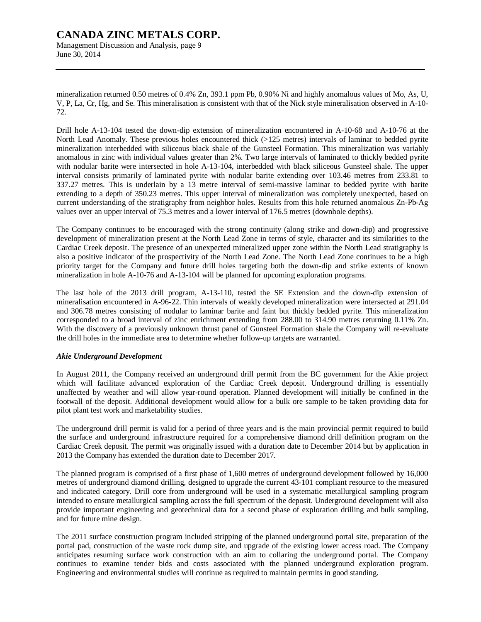# **CANADA ZINC METALS CORP.**  Management Discussion and Analysis, page 9

June 30, 2014

mineralization returned 0.50 metres of 0.4% Zn, 393.1 ppm Pb, 0.90% Ni and highly anomalous values of Mo, As, U, V, P, La, Cr, Hg, and Se. This mineralisation is consistent with that of the Nick style mineralisation observed in A-10- 72.

Drill hole A-13-104 tested the down-dip extension of mineralization encountered in A-10-68 and A-10-76 at the North Lead Anomaly. These previous holes encountered thick (>125 metres) intervals of laminar to bedded pyrite mineralization interbedded with siliceous black shale of the Gunsteel Formation. This mineralization was variably anomalous in zinc with individual values greater than 2%. Two large intervals of laminated to thickly bedded pyrite with nodular barite were intersected in hole A-13-104, interbedded with black siliceous Gunsteel shale. The upper interval consists primarily of laminated pyrite with nodular barite extending over 103.46 metres from 233.81 to 337.27 metres. This is underlain by a 13 metre interval of semi-massive laminar to bedded pyrite with barite extending to a depth of 350.23 metres. This upper interval of mineralization was completely unexpected, based on current understanding of the stratigraphy from neighbor holes. Results from this hole returned anomalous Zn-Pb-Ag values over an upper interval of 75.3 metres and a lower interval of 176.5 metres (downhole depths).

The Company continues to be encouraged with the strong continuity (along strike and down-dip) and progressive development of mineralization present at the North Lead Zone in terms of style, character and its similarities to the Cardiac Creek deposit. The presence of an unexpected mineralized upper zone within the North Lead stratigraphy is also a positive indicator of the prospectivity of the North Lead Zone. The North Lead Zone continues to be a high priority target for the Company and future drill holes targeting both the down-dip and strike extents of known mineralization in hole A-10-76 and A-13-104 will be planned for upcoming exploration programs.

The last hole of the 2013 drill program, A-13-110, tested the SE Extension and the down-dip extension of mineralisation encountered in A-96-22. Thin intervals of weakly developed mineralization were intersected at 291.04 and 306.78 metres consisting of nodular to laminar barite and faint but thickly bedded pyrite. This mineralization corresponded to a broad interval of zinc enrichment extending from 288.00 to 314.90 metres returning 0.11% Zn. With the discovery of a previously unknown thrust panel of Gunsteel Formation shale the Company will re-evaluate the drill holes in the immediate area to determine whether follow-up targets are warranted.

## *Akie Underground Development*

In August 2011, the Company received an underground drill permit from the BC government for the Akie project which will facilitate advanced exploration of the Cardiac Creek deposit. Underground drilling is essentially unaffected by weather and will allow year-round operation. Planned development will initially be confined in the footwall of the deposit. Additional development would allow for a bulk ore sample to be taken providing data for pilot plant test work and marketability studies.

The underground drill permit is valid for a period of three years and is the main provincial permit required to build the surface and underground infrastructure required for a comprehensive diamond drill definition program on the Cardiac Creek deposit. The permit was originally issued with a duration date to December 2014 but by application in 2013 the Company has extended the duration date to December 2017.

The planned program is comprised of a first phase of 1,600 metres of underground development followed by 16,000 metres of underground diamond drilling, designed to upgrade the current 43-101 compliant resource to the measured and indicated category. Drill core from underground will be used in a systematic metallurgical sampling program intended to ensure metallurgical sampling across the full spectrum of the deposit. Underground development will also provide important engineering and geotechnical data for a second phase of exploration drilling and bulk sampling, and for future mine design.

The 2011 surface construction program included stripping of the planned underground portal site, preparation of the portal pad, construction of the waste rock dump site, and upgrade of the existing lower access road. The Company anticipates resuming surface work construction with an aim to collaring the underground portal. The Company continues to examine tender bids and costs associated with the planned underground exploration program. Engineering and environmental studies will continue as required to maintain permits in good standing.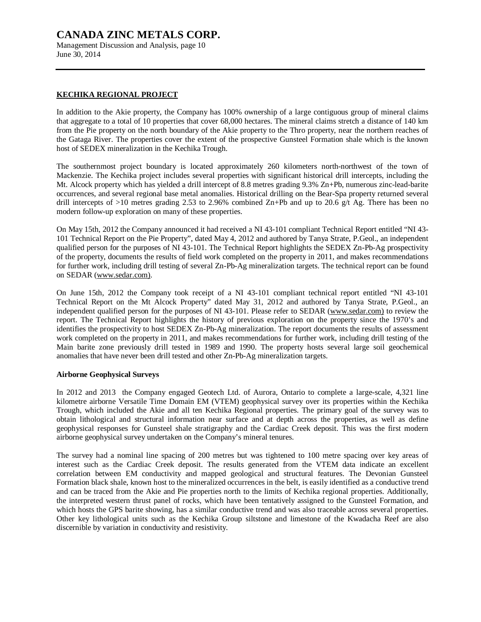Management Discussion and Analysis, page 10 June 30, 2014

# **KECHIKA REGIONAL PROJECT**

In addition to the Akie property, the Company has 100% ownership of a large contiguous group of mineral claims that aggregate to a total of 10 properties that cover 68,000 hectares. The mineral claims stretch a distance of 140 km from the Pie property on the north boundary of the Akie property to the Thro property, near the northern reaches of the Gataga River. The properties cover the extent of the prospective Gunsteel Formation shale which is the known host of SEDEX mineralization in the Kechika Trough.

The southernmost project boundary is located approximately 260 kilometers north-northwest of the town of Mackenzie. The Kechika project includes several properties with significant historical drill intercepts, including the Mt. Alcock property which has yielded a drill intercept of 8.8 metres grading 9.3% Zn+Pb, numerous zinc-lead-barite occurrences, and several regional base metal anomalies. Historical drilling on the Bear-Spa property returned several drill intercepts of  $>10$  metres grading 2.53 to 2.96% combined Zn+Pb and up to 20.6 g/t Ag. There has been no modern follow-up exploration on many of these properties.

On May 15th, 2012 the Company announced it had received a NI 43-101 compliant Technical Report entitled "NI 43- 101 Technical Report on the Pie Property", dated May 4, 2012 and authored by Tanya Strate, P.Geol., an independent qualified person for the purposes of NI 43-101. The Technical Report highlights the SEDEX Zn-Pb-Ag prospectivity of the property, documents the results of field work completed on the property in 2011, and makes recommendations for further work, including drill testing of several Zn-Pb-Ag mineralization targets. The technical report can be found on SEDAR [\(www.sedar.com\).](http://www.sedar.com))

On June 15th, 2012 the Company took receipt of a NI 43-101 compliant technical report entitled "NI 43-101 Technical Report on the Mt Alcock Property" dated May 31, 2012 and authored by Tanya Strate, P.Geol., an independent qualified person for the purposes of NI 43-101. Please refer to SEDAR [\(www.sedar.com\)](http://www.sedar.com)) to review the report. The Technical Report highlights the history of previous exploration on the property since the 1970's and identifies the prospectivity to host SEDEX Zn-Pb-Ag mineralization. The report documents the results of assessment work completed on the property in 2011, and makes recommendations for further work, including drill testing of the Main barite zone previously drill tested in 1989 and 1990. The property hosts several large soil geochemical anomalies that have never been drill tested and other Zn-Pb-Ag mineralization targets.

## **Airborne Geophysical Surveys**

In 2012 and 2013 the Company engaged Geotech Ltd. of Aurora, Ontario to complete a large-scale, 4,321 line kilometre airborne Versatile Time Domain EM (VTEM) geophysical survey over its properties within the Kechika Trough, which included the Akie and all ten Kechika Regional properties. The primary goal of the survey was to obtain lithological and structural information near surface and at depth across the properties, as well as define geophysical responses for Gunsteel shale stratigraphy and the Cardiac Creek deposit. This was the first modern airborne geophysical survey undertaken on the Company's mineral tenures.

The survey had a nominal line spacing of 200 metres but was tightened to 100 metre spacing over key areas of interest such as the Cardiac Creek deposit. The results generated from the VTEM data indicate an excellent correlation between EM conductivity and mapped geological and structural features. The Devonian Gunsteel Formation black shale, known host to the mineralized occurrences in the belt, is easily identified as a conductive trend and can be traced from the Akie and Pie properties north to the limits of Kechika regional properties. Additionally, the interpreted western thrust panel of rocks, which have been tentatively assigned to the Gunsteel Formation, and which hosts the GPS barite showing, has a similar conductive trend and was also traceable across several properties. Other key lithological units such as the Kechika Group siltstone and limestone of the Kwadacha Reef are also discernible by variation in conductivity and resistivity.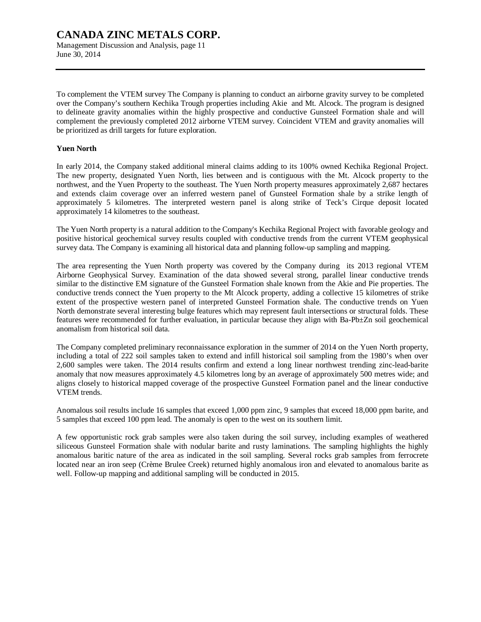To complement the VTEM survey The Company is planning to conduct an airborne gravity survey to be completed over the Company's southern Kechika Trough properties including Akie and Mt. Alcock. The program is designed to delineate gravity anomalies within the highly prospective and conductive Gunsteel Formation shale and will complement the previously completed 2012 airborne VTEM survey. Coincident VTEM and gravity anomalies will be prioritized as drill targets for future exploration.

## **Yuen North**

June 30, 2014

In early 2014, the Company staked additional mineral claims adding to its 100% owned Kechika Regional Project. The new property, designated Yuen North, lies between and is contiguous with the Mt. Alcock property to the northwest, and the Yuen Property to the southeast. The Yuen North property measures approximately 2,687 hectares and extends claim coverage over an inferred western panel of Gunsteel Formation shale by a strike length of approximately 5 kilometres. The interpreted western panel is along strike of Teck's Cirque deposit located approximately 14 kilometres to the southeast.

The Yuen North property is a natural addition to the Company's Kechika Regional Project with favorable geology and positive historical geochemical survey results coupled with conductive trends from the current VTEM geophysical survey data. The Company is examining all historical data and planning follow-up sampling and mapping.

The area representing the Yuen North property was covered by the Company during its 2013 regional VTEM Airborne Geophysical Survey. Examination of the data showed several strong, parallel linear conductive trends similar to the distinctive EM signature of the Gunsteel Formation shale known from the Akie and Pie properties. The conductive trends connect the Yuen property to the Mt Alcock property, adding a collective 15 kilometres of strike extent of the prospective western panel of interpreted Gunsteel Formation shale. The conductive trends on Yuen North demonstrate several interesting bulge features which may represent fault intersections or structural folds. These features were recommended for further evaluation, in particular because they align with Ba-Pb±Zn soil geochemical anomalism from historical soil data.

The Company completed preliminary reconnaissance exploration in the summer of 2014 on the Yuen North property, including a total of 222 soil samples taken to extend and infill historical soil sampling from the 1980's when over 2,600 samples were taken. The 2014 results confirm and extend a long linear northwest trending zinc-lead-barite anomaly that now measures approximately 4.5 kilometres long by an average of approximately 500 metres wide; and aligns closely to historical mapped coverage of the prospective Gunsteel Formation panel and the linear conductive VTEM trends.

Anomalous soil results include 16 samples that exceed 1,000 ppm zinc, 9 samples that exceed 18,000 ppm barite, and 5 samples that exceed 100 ppm lead. The anomaly is open to the west on its southern limit.

A few opportunistic rock grab samples were also taken during the soil survey, including examples of weathered siliceous Gunsteel Formation shale with nodular barite and rusty laminations. The sampling highlights the highly anomalous baritic nature of the area as indicated in the soil sampling. Several rocks grab samples from ferrocrete located near an iron seep (Crème Brulee Creek) returned highly anomalous iron and elevated to anomalous barite as well. Follow-up mapping and additional sampling will be conducted in 2015.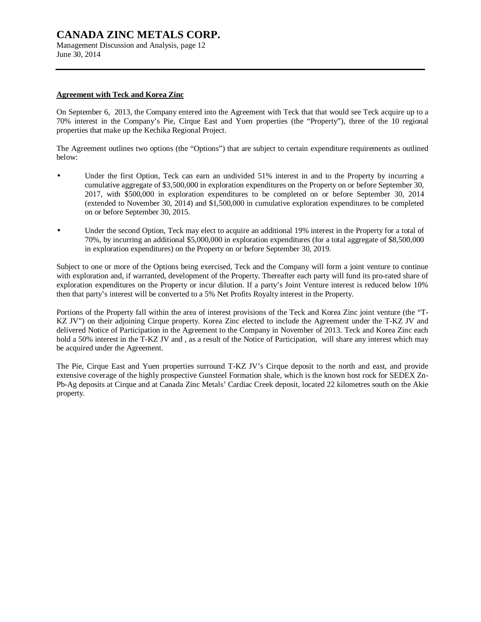Management Discussion and Analysis, page 12 June 30, 2014

## **Agreement with Teck and Korea Zinc**

On September 6, 2013, the Company entered into the Agreement with Teck that that would see Teck acquire up to a 70% interest in the Company's Pie, Cirque East and Yuen properties (the "Property"), three of the 10 regional properties that make up the Kechika Regional Project.

The Agreement outlines two options (the "Options") that are subject to certain expenditure requirements as outlined below:

- Under the first Option, Teck can earn an undivided 51% interest in and to the Property by incurring a cumulative aggregate of \$3,500,000 in exploration expenditures on the Property on or before September 30, 2017, with \$500,000 in exploration expenditures to be completed on or before September 30, 2014 (extended to November 30, 2014) and \$1,500,000 in cumulative exploration expenditures to be completed on or before September 30, 2015.
- Under the second Option, Teck may elect to acquire an additional 19% interest in the Property for a total of 70%, by incurring an additional \$5,000,000 in exploration expenditures (for a total aggregate of \$8,500,000 in exploration expenditures) on the Property on or before September 30, 2019.

Subject to one or more of the Options being exercised, Teck and the Company will form a joint venture to continue with exploration and, if warranted, development of the Property. Thereafter each party will fund its pro-rated share of exploration expenditures on the Property or incur dilution. If a party's Joint Venture interest is reduced below 10% then that party's interest will be converted to a 5% Net Profits Royalty interest in the Property.

Portions of the Property fall within the area of interest provisions of the Teck and Korea Zinc joint venture (the "T-KZ JV") on their adjoining Cirque property. Korea Zinc elected to include the Agreement under the T-KZ JV and delivered Notice of Participation in the Agreement to the Company in November of 2013. Teck and Korea Zinc each hold a 50% interest in the T-KZ JV and, as a result of the Notice of Participation, will share any interest which may be acquired under the Agreement.

The Pie, Cirque East and Yuen properties surround T-KZ JV's Cirque deposit to the north and east, and provide extensive coverage of the highly prospective Gunsteel Formation shale, which is the known host rock for SEDEX Zn-Pb-Ag deposits at Cirque and at Canada Zinc Metals' Cardiac Creek deposit, located 22 kilometres south on the Akie property.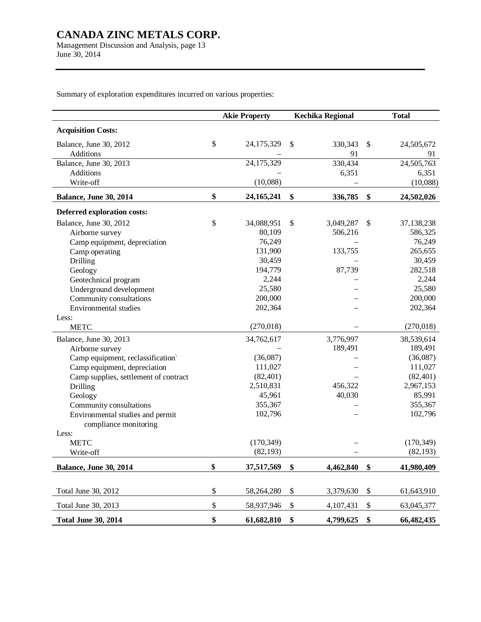Management Discussion and Analysis, page 13 June 30, 2014

Summary of exploration expenditures incurred on various properties:

|                                            | <b>Akie Property</b> | <b>Kechika Regional</b> | <b>Total</b>     |
|--------------------------------------------|----------------------|-------------------------|------------------|
| <b>Acquisition Costs:</b>                  |                      |                         |                  |
| Balance, June 30, 2012                     | \$<br>24,175,329     | \$<br>330,343           | \$<br>24,505,672 |
| Additions                                  |                      | 91                      | 91               |
| Balance, June 30, 2013                     | 24,175,329           | 330,434                 | 24,505,763       |
| Additions                                  |                      | 6,351                   | 6,351            |
| Write-off                                  | (10,088)             |                         | (10,088)         |
| Balance, June 30, 2014                     | \$<br>24,165,241     | \$<br>336,785           | \$<br>24,502,026 |
| Deferred exploration costs:                |                      |                         |                  |
| Balance, June 30, 2012                     | \$<br>34,088,951     | \$<br>3,049,287         | \$<br>37,138,238 |
| Airborne survey                            | 80,109               | 506,216                 | 586,325          |
| Camp equipment, depreciation               | 76,249               |                         | 76,249           |
| Camp operating                             | 131,900              | 133,755                 | 265,655          |
| Drilling                                   | 30,459               |                         | 30,459           |
| Geology                                    | 194,779              | 87,739                  | 282,518          |
| Geotechnical program                       | 2,244                |                         | 2,244            |
| Underground development                    | 25,580               |                         | 25,580           |
| Community consultations                    | 200,000              |                         | 200,000          |
| Environmental studies                      | 202,364              |                         | 202,364          |
| Less:                                      |                      |                         |                  |
| <b>METC</b>                                | (270, 018)           |                         | (270, 018)       |
| Balance, June 30, 2013                     | 34,762,617           | 3,776,997               | 38,539,614       |
| Airborne survey                            |                      | 189,491                 | 189,491          |
| Camp equipment, reclassification $\langle$ | (36,087)             |                         | (36,087)         |
| Camp equipment, depreciation               | 111,027              |                         | 111,027          |
| Camp supplies, settlement of contract      | (82, 401)            |                         | (82, 401)        |
| Drilling                                   | 2,510,831            | 456,322                 | 2,967,153        |
| Geology                                    | 45,961               | 40,030                  | 85,991           |
| Community consultations                    | 355,367              |                         | 355,367          |
| Environmental studies and permit           | 102,796              |                         | 102,796          |
| compliance monitoring<br>Less:             |                      |                         |                  |
| <b>METC</b>                                | (170, 349)           |                         | (170, 349)       |
| Write-off                                  | (82, 193)            |                         | (82, 193)        |
| <b>Balance, June 30, 2014</b>              | \$<br>37,517,569     | \$<br>4,462,840         | \$<br>41,980,409 |
|                                            |                      |                         |                  |
| Total June 30, 2012                        | \$<br>58,264,280     | \$<br>3,379,630         | \$<br>61,643,910 |
| Total June 30, 2013                        | \$<br>58,937,946     | \$<br>4,107,431         | \$<br>63,045,377 |
| <b>Total June 30, 2014</b>                 | \$<br>61,682,810     | \$<br>4,799,625         | \$<br>66,482,435 |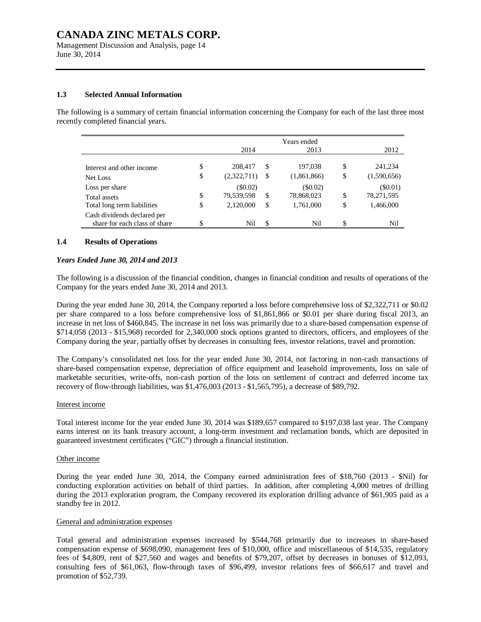Management Discussion and Analysis, page 14 June 30, 2014

#### **1.3 Selected Annual Information**

The following is a summary of certain financial information concerning the Company for each of the last three most recently completed financial years.

|                                                              | 2014              |    | Years ended<br>2013 |    | 2012        |
|--------------------------------------------------------------|-------------------|----|---------------------|----|-------------|
|                                                              |                   |    |                     |    |             |
| Interest and other income                                    | \$<br>208,417     | S  | 197,038             | S  | 241,234     |
| Net Loss                                                     | \$<br>(2,322,711) | -S | (1,861,866)         | \$ | (1,590,656) |
| Loss per share                                               | $(\$0.02)$        |    | $($ \$0.02)         |    | $(\$0.01)$  |
| Total assets                                                 | \$<br>79,539,598  | \$ | 78,868,023          | \$ | 78,271,595  |
| Total long term liabilities                                  | \$<br>2,120,000   | \$ | 1,761,000           | \$ | 1,466,000   |
| Cash dividends declared per<br>share for each class of share | Nil               | \$ | Nil                 | S  | Nil         |
|                                                              |                   |    |                     |    |             |

### **1.4 Results of Operations**

#### *Years Ended June 30, 2014 and 2013*

The following is a discussion of the financial condition, changes in financial condition and results of operations of the Company for the years ended June 30, 2014 and 2013.

During the year ended June 30, 2014, the Company reported a loss before comprehensive loss of \$2,322,711 or \$0.02 per share compared to a loss before comprehensive loss of \$1,861,866 or \$0.01 per share during fiscal 2013, an increase in net loss of \$460,845. The increase in net loss was primarily due to a share-based compensation expense of \$714,058 (2013 - \$15,968) recorded for 2,340,000 stock options granted to directors, officers, and employees of the Company during the year, partially offset by decreases in consulting fees, investor relations, travel and promotion.

The Company's consolidated net loss for the year ended June 30, 2014, not factoring in non-cash transactions of share-based compensation expense, depreciation of office equipment and leasehold improvements, loss on sale of marketable securities, write-offs, non-cash portion of the loss on settlement of contract and deferred income tax recovery of flow-through liabilities, was \$1,476,003 (2013 - \$1,565,795), a decrease of \$89,792.

#### Interest income

Total interest income for the year ended June 30, 2014 was \$189,657 compared to \$197,038 last year. The Company earns interest on its bank treasury account, a long-term investment and reclamation bonds, which are deposited in guaranteed investment certificates ("GIC") through a financial institution.

#### Other income

During the year ended June 30, 2014, the Company earned administration fees of \$18,760 (2013 - \$Nil) for conducting exploration activities on behalf of third parties. In addition, after completing 4,000 metres of drilling during the 2013 exploration program, the Company recovered its exploration drilling advance of \$61,905 paid as a standby fee in 2012.

#### General and administration expenses

Total general and administration expenses increased by \$544,768 primarily due to increases in share-based compensation expense of \$698,090, management fees of \$10,000, office and miscellaneous of \$14,535, regulatory fees of \$4,809, rent of \$27,560 and wages and benefits of \$79,207, offset by decreases in bonuses of \$12,093, consulting fees of \$61,063, flow-through taxes of \$96,499, investor relations fees of \$66,617 and travel and promotion of \$52,739.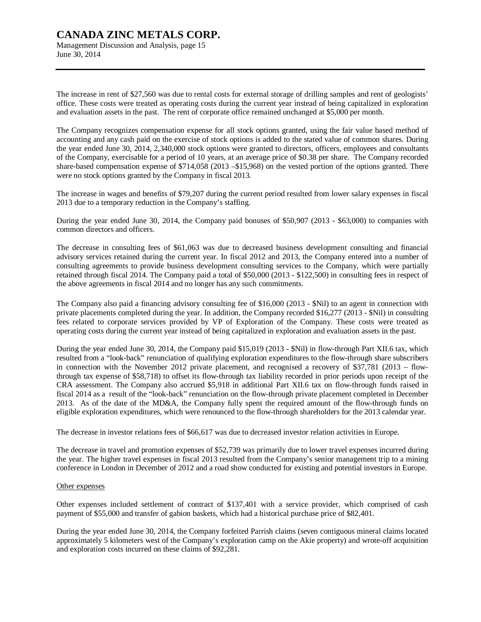Management Discussion and Analysis, page 15 June 30, 2014

The increase in rent of \$27,560 was due to rental costs for external storage of drilling samples and rent of geologists' office. These costs were treated as operating costs during the current year instead of being capitalized in exploration and evaluation assets in the past. The rent of corporate office remained unchanged at \$5,000 per month.

The Company recognizes compensation expense for all stock options granted, using the fair value based method of accounting and any cash paid on the exercise of stock options is added to the stated value of common shares. During the year ended June 30, 2014, 2,340,000 stock options were granted to directors, officers, employees and consultants of the Company, exercisable for a period of 10 years, at an average price of \$0.38 per share. The Company recorded share-based compensation expense of \$714,058 (2013 – \$15,968) on the vested portion of the options granted. There were no stock options granted by the Company in fiscal 2013.

The increase in wages and benefits of \$79,207 during the current period resulted from lower salary expenses in fiscal 2013 due to a temporary reduction in the Company's staffing.

During the year ended June 30, 2014, the Company paid bonuses of \$50,907 (2013 - \$63,000) to companies with common directors and officers.

The decrease in consulting fees of \$61,063 was due to decreased business development consulting and financial advisory services retained during the current year. In fiscal 2012 and 2013, the Company entered into a number of consulting agreements to provide business development consulting services to the Company, which were partially retained through fiscal 2014. The Company paid a total of \$50,000 (2013 - \$122,500) in consulting fees in respect of the above agreements in fiscal 2014 and no longer has any such commitments.

The Company also paid a financing advisory consulting fee of \$16,000 (2013 - \$Nil) to an agent in connection with private placements completed during the year. In addition, the Company recorded \$16,277 (2013 - \$Nil) in consulting fees related to corporate services provided by VP of Exploration of the Company. These costs were treated as operating costs during the current year instead of being capitalized in exploration and evaluation assets in the past.

During the year ended June 30, 2014, the Company paid \$15,019 (2013 - \$Nil) in flow-through Part XII.6 tax, which resulted from a "look-back" renunciation of qualifying exploration expenditures to the flow-through share subscribers in connection with the November 2012 private placement, and recognised a recovery of \$37,781 (2013 – flowthrough tax expense of \$58,718) to offset its flow-through tax liability recorded in prior periods upon receipt of the CRA assessment. The Company also accrued \$5,918 in additional Part XII.6 tax on flow-through funds raised in fiscal 2014 as a result of the "look-back" renunciation on the flow-through private placement completed in December 2013. As of the date of the MD&A, the Company fully spent the required amount of the flow-through funds on eligible exploration expenditures, which were renounced to the flow-through shareholders for the 2013 calendar year.

The decrease in investor relations fees of \$66,617 was due to decreased investor relation activities in Europe.

The decrease in travel and promotion expenses of \$52,739 was primarily due to lower travel expenses incurred during the year. The higher travel expenses in fiscal 2013 resulted from the Company's senior management trip to a mining conference in London in December of 2012 and a road show conducted for existing and potential investors in Europe.

#### Other expenses

Other expenses included settlement of contract of \$137,401 with a service provider, which comprised of cash payment of \$55,000 and transfer of gabion baskets, which had a historical purchase price of \$82,401.

During the year ended June 30, 2014, the Company forfeited Parrish claims (seven contiguous mineral claims located approximately 5 kilometers west of the Company's exploration camp on the Akie property) and wrote-off acquisition and exploration costs incurred on these claims of \$92,281.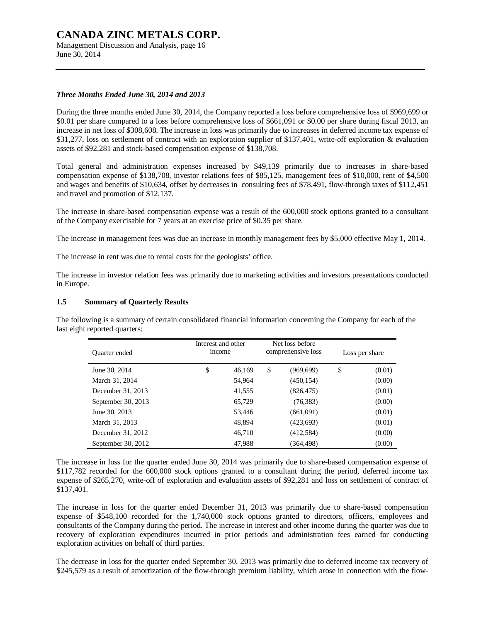Management Discussion and Analysis, page 16 June 30, 2014

### *Three Months Ended June 30, 2014 and 2013*

During the three months ended June 30, 2014, the Company reported a loss before comprehensive loss of \$969,699 or \$0.01 per share compared to a loss before comprehensive loss of \$661,091 or \$0.00 per share during fiscal 2013, an increase in net loss of \$308,608. The increase in loss was primarily due to increases in deferred income tax expense of \$31,277, loss on settlement of contract with an exploration supplier of \$137,401, write-off exploration & evaluation assets of \$92,281 and stock-based compensation expense of \$138,708.

Total general and administration expenses increased by \$49,139 primarily due to increases in share-based compensation expense of \$138,708, investor relations fees of \$85,125, management fees of \$10,000, rent of \$4,500 and wages and benefits of \$10,634, offset by decreases in consulting fees of \$78,491, flow-through taxes of \$112,451 and travel and promotion of \$12,137.

The increase in share-based compensation expense was a result of the 600,000 stock options granted to a consultant of the Company exercisable for 7 years at an exercise price of \$0.35 per share.

The increase in management fees was due an increase in monthly management fees by \$5,000 effective May 1, 2014.

The increase in rent was due to rental costs for the geologists' office.

The increase in investor relation fees was primarily due to marketing activities and investors presentations conducted in Europe.

#### **1.5 Summary of Quarterly Results**

The following is a summary of certain consolidated financial information concerning the Company for each of the last eight reported quarters:

| Quarter ended      | Interest and other<br>income |        | Net loss before<br>comprehensive loss | Loss per share |        |  |
|--------------------|------------------------------|--------|---------------------------------------|----------------|--------|--|
| June 30, 2014      | \$                           | 46,169 | \$<br>(969, 699)                      | \$             | (0.01) |  |
| March 31, 2014     |                              | 54,964 | (450, 154)                            |                | (0.00) |  |
| December 31, 2013  |                              | 41,555 | (826, 475)                            |                | (0.01) |  |
| September 30, 2013 |                              | 65,729 | (76, 383)                             |                | (0.00) |  |
| June 30, 2013      |                              | 53,446 | (661,091)                             |                | (0.01) |  |
| March 31, 2013     |                              | 48,894 | (423, 693)                            |                | (0.01) |  |
| December 31, 2012  |                              | 46,710 | (412,584)                             |                | (0.00) |  |
| September 30, 2012 |                              | 47,988 | (364, 498)                            |                | (0.00) |  |

The increase in loss for the quarter ended June 30, 2014 was primarily due to share-based compensation expense of \$117,782 recorded for the 600,000 stock options granted to a consultant during the period, deferred income tax expense of \$265,270, write-off of exploration and evaluation assets of \$92,281 and loss on settlement of contract of \$137,401.

The increase in loss for the quarter ended December 31, 2013 was primarily due to share-based compensation expense of \$548,100 recorded for the 1,740,000 stock options granted to directors, officers, employees and consultants of the Company during the period. The increase in interest and other income during the quarter was due to recovery of exploration expenditures incurred in prior periods and administration fees earned for conducting exploration activities on behalf of third parties.

The decrease in loss for the quarter ended September 30, 2013 was primarily due to deferred income tax recovery of \$245,579 as a result of amortization of the flow-through premium liability, which arose in connection with the flow-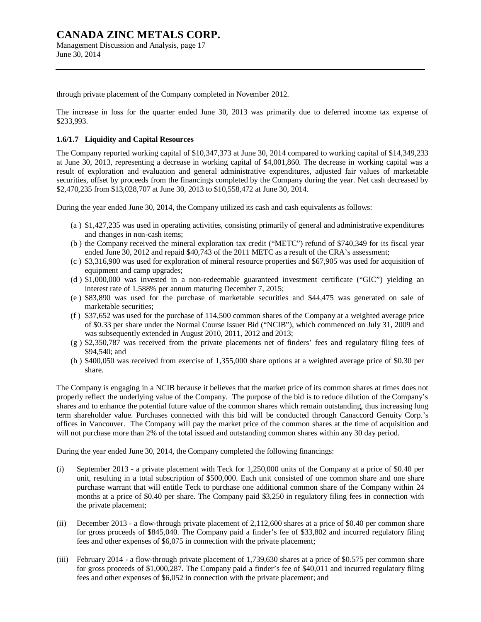# **CANADA ZINC METALS CORP.**  Management Discussion and Analysis, page 17

through private placement of the Company completed in November 2012.

The increase in loss for the quarter ended June 30, 2013 was primarily due to deferred income tax expense of \$233,993.

## **1.6/1.7 Liquidity and Capital Resources**

The Company reported working capital of \$10,347,373 at June 30, 2014 compared to working capital of \$14,349,233 at June 30, 2013, representing a decrease in working capital of \$4,001,860. The decrease in working capital was a result of exploration and evaluation and general administrative expenditures, adjusted fair values of marketable securities, offset by proceeds from the financings completed by the Company during the year. Net cash decreased by \$2,470,235 from \$13,028,707 at June 30, 2013 to \$10,558,472 at June 30, 2014.

During the year ended June 30, 2014, the Company utilized its cash and cash equivalents as follows:

- (a ) \$1,427,235 was used in operating activities, consisting primarily of general and administrative expenditures and changes in non-cash items;
- (b ) the Company received the mineral exploration tax credit ("METC") refund of \$740,349 for its fiscal year ended June 30, 2012 and repaid \$40,743 of the 2011 METC as a result of the CRA's assessment;
- (c ) \$3,316,900 was used for exploration of mineral resource properties and \$67,905 was used for acquisition of equipment and camp upgrades;
- (d ) \$1,000,000 was invested in a non-redeemable guaranteed investment certificate ("GIC") yielding an interest rate of 1.588% per annum maturing December 7, 2015;
- (e ) \$83,890 was used for the purchase of marketable securities and \$44,475 was generated on sale of marketable securities;
- (f ) \$37,652 was used for the purchase of 114,500 common shares of the Company at a weighted average price of \$0.33 per share under the Normal Course Issuer Bid ("NCIB"), which commenced on July 31, 2009 and was subsequently extended in August 2010, 2011, 2012 and 2013;
- (g ) \$2,350,787 was received from the private placements net of finders' fees and regulatory filing fees of \$94,540; and
- (h ) \$400,050 was received from exercise of 1,355,000 share options at a weighted average price of \$0.30 per share.

The Company is engaging in a NCIB because it believes that the market price of its common shares at times does not properly reflect the underlying value of the Company. The purpose of the bid is to reduce dilution of the Company's shares and to enhance the potential future value of the common shares which remain outstanding, thus increasing long term shareholder value. Purchases connected with this bid will be conducted through Canaccord Genuity Corp.'s offices in Vancouver. The Company will pay the market price of the common shares at the time of acquisition and will not purchase more than 2% of the total issued and outstanding common shares within any 30 day period.

During the year ended June 30, 2014, the Company completed the following financings:

- (i) September 2013 a private placement with Teck for 1,250,000 units of the Company at a price of \$0.40 per unit, resulting in a total subscription of \$500,000. Each unit consisted of one common share and one share purchase warrant that will entitle Teck to purchase one additional common share of the Company within 24 months at a price of \$0.40 per share. The Company paid \$3,250 in regulatory filing fees in connection with the private placement;
- (ii) December 2013 a flow-through private placement of 2,112,600 shares at a price of \$0.40 per common share for gross proceeds of \$845,040. The Company paid a finder's fee of \$33,802 and incurred regulatory filing fees and other expenses of \$6,075 in connection with the private placement;
- (iii) February 2014 a flow-through private placement of 1,739,630 shares at a price of \$0.575 per common share for gross proceeds of \$1,000,287. The Company paid a finder's fee of \$40,011 and incurred regulatory filing fees and other expenses of \$6,052 in connection with the private placement; and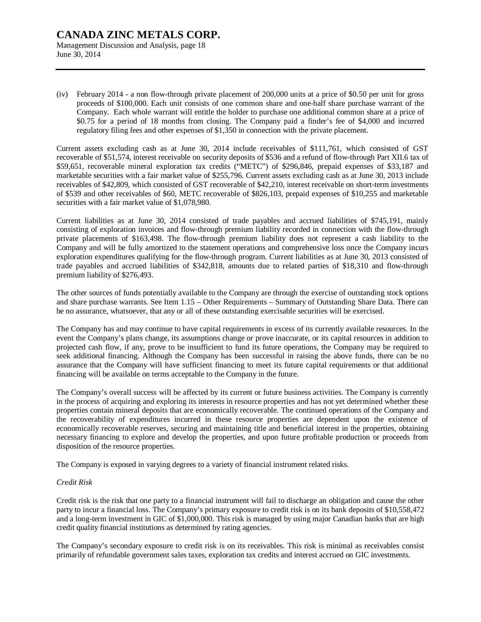# **CANADA ZINC METALS CORP.**  Management Discussion and Analysis, page 18

June 30, 2014

(iv) February 2014 - a non flow-through private placement of 200,000 units at a price of \$0.50 per unit for gross proceeds of \$100,000. Each unit consists of one common share and one-half share purchase warrant of the Company. Each whole warrant will entitle the holder to purchase one additional common share at a price of \$0.75 for a period of 18 months from closing. The Company paid a finder's fee of \$4,000 and incurred regulatory filing fees and other expenses of \$1,350 in connection with the private placement.

Current assets excluding cash as at June 30, 2014 include receivables of \$111,761, which consisted of GST recoverable of \$51,574, interest receivable on security deposits of \$536 and a refund of flow-through Part XII.6 tax of \$59,651, recoverable mineral exploration tax credits ("METC") of \$296,846, prepaid expenses of \$33,187 and marketable securities with a fair market value of \$255,796. Current assets excluding cash as at June 30, 2013 include receivables of \$42,809, which consisted of GST recoverable of \$42,210, interest receivable on short-term investments of \$539 and other receivables of \$60, METC recoverable of \$826,103, prepaid expenses of \$10,255 and marketable securities with a fair market value of \$1,078,980.

Current liabilities as at June 30, 2014 consisted of trade payables and accrued liabilities of \$745,191, mainly consisting of exploration invoices and flow-through premium liability recorded in connection with the flow-through private placements of \$163,498. The flow-through premium liability does not represent a cash liability to the Company and will be fully amortized to the statement operations and comprehensive loss once the Company incurs exploration expenditures qualifying for the flow-through program. Current liabilities as at June 30, 2013 consisted of trade payables and accrued liabilities of \$342,818, amounts due to related parties of \$18,310 and flow-through premium liability of \$276,493.

The other sources of funds potentially available to the Company are through the exercise of outstanding stock options and share purchase warrants. See Item 1.15 – Other Requirements – Summary of Outstanding Share Data. There can be no assurance, whatsoever, that any or all of these outstanding exercisable securities will be exercised.

The Company has and may continue to have capital requirements in excess of its currently available resources. In the event the Company's plans change, its assumptions change or prove inaccurate, or its capital resources in addition to projected cash flow, if any, prove to be insufficient to fund its future operations, the Company may be required to seek additional financing. Although the Company has been successful in raising the above funds, there can be no assurance that the Company will have sufficient financing to meet its future capital requirements or that additional financing will be available on terms acceptable to the Company in the future.

The Company's overall success will be affected by its current or future business activities. The Company is currently in the process of acquiring and exploring its interests in resource properties and has not yet determined whether these properties contain mineral deposits that are economically recoverable. The continued operations of the Company and the recoverability of expenditures incurred in these resource properties are dependent upon the existence of economically recoverable reserves, securing and maintaining title and beneficial interest in the properties, obtaining necessary financing to explore and develop the properties, and upon future profitable production or proceeds from disposition of the resource properties.

The Company is exposed in varying degrees to a variety of financial instrument related risks.

## *Credit Risk*

Credit risk is the risk that one party to a financial instrument will fail to discharge an obligation and cause the other party to incur a financial loss. The Company's primary exposure to credit risk is on its bank deposits of \$10,558,472 and a long-term investment in GIC of \$1,000,000. This risk is managed by using major Canadian banks that are high credit quality financial institutions as determined by rating agencies.

The Company's secondary exposure to credit risk is on its receivables. This risk is minimal as receivables consist primarily of refundable government sales taxes, exploration tax credits and interest accrued on GIC investments.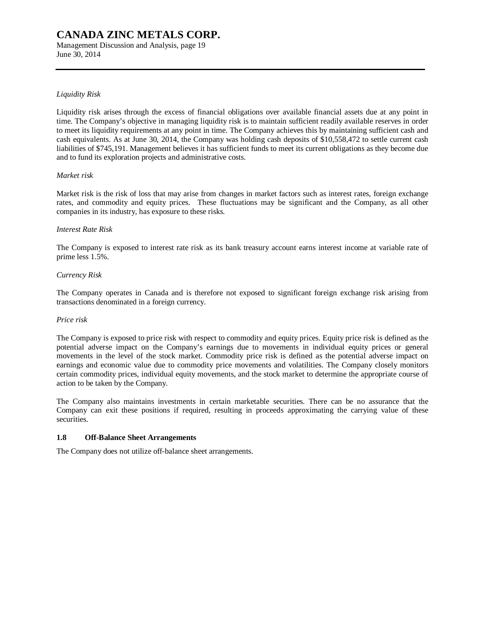Management Discussion and Analysis, page 19 June 30, 2014

## *Liquidity Risk*

Liquidity risk arises through the excess of financial obligations over available financial assets due at any point in time. The Company's objective in managing liquidity risk is to maintain sufficient readily available reserves in order to meet its liquidity requirements at any point in time. The Company achieves this by maintaining sufficient cash and cash equivalents. As at June 30, 2014, the Company was holding cash deposits of \$10,558,472 to settle current cash liabilities of \$745,191. Management believes it has sufficient funds to meet its current obligations as they become due and to fund its exploration projects and administrative costs.

#### *Market risk*

Market risk is the risk of loss that may arise from changes in market factors such as interest rates, foreign exchange rates, and commodity and equity prices. These fluctuations may be significant and the Company, as all other companies in its industry, has exposure to these risks.

#### *Interest Rate Risk*

The Company is exposed to interest rate risk as its bank treasury account earns interest income at variable rate of prime less 1.5%.

#### *Currency Risk*

The Company operates in Canada and is therefore not exposed to significant foreign exchange risk arising from transactions denominated in a foreign currency.

#### *Price risk*

The Company is exposed to price risk with respect to commodity and equity prices. Equity price risk is defined as the potential adverse impact on the Company's earnings due to movements in individual equity prices or general movements in the level of the stock market. Commodity price risk is defined as the potential adverse impact on earnings and economic value due to commodity price movements and volatilities. The Company closely monitors certain commodity prices, individual equity movements, and the stock market to determine the appropriate course of action to be taken by the Company.

The Company also maintains investments in certain marketable securities. There can be no assurance that the Company can exit these positions if required, resulting in proceeds approximating the carrying value of these securities.

#### **1.8 Off-Balance Sheet Arrangements**

The Company does not utilize off-balance sheet arrangements.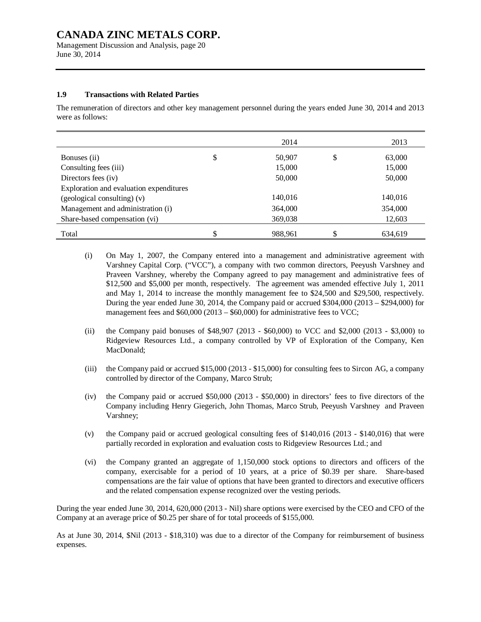Management Discussion and Analysis, page 20 June 30, 2014

### **1.9 Transactions with Related Parties**

The remuneration of directors and other key management personnel during the years ended June 30, 2014 and 2013 were as follows:

|                                         | 2014          | 2013          |
|-----------------------------------------|---------------|---------------|
| Bonuses (ii)                            | \$<br>50,907  | \$<br>63,000  |
| Consulting fees (iii)                   | 15,000        | 15,000        |
| Directors fees (iv)                     | 50,000        | 50,000        |
| Exploration and evaluation expenditures |               |               |
| (geological consulting) (v)             | 140,016       | 140,016       |
| Management and administration (i)       | 364,000       | 354,000       |
| Share-based compensation (vi)           | 369,038       | 12,603        |
| Total                                   | \$<br>988.961 | \$<br>634.619 |

- (i) On May 1, 2007, the Company entered into a management and administrative agreement with Varshney Capital Corp. ("VCC"), a company with two common directors, Peeyush Varshney and Praveen Varshney, whereby the Company agreed to pay management and administrative fees of \$12,500 and \$5,000 per month, respectively. The agreement was amended effective July 1, 2011 and May 1, 2014 to increase the monthly management fee to \$24,500 and \$29,500, respectively. During the year ended June 30, 2014, the Company paid or accrued \$304,000 (2013 – \$294,000) for management fees and  $$60,000 (2013 - $60,000)$  for administrative fees to VCC;
- (ii) the Company paid bonuses of  $$48,907$  (2013  $$60,000$ ) to VCC and  $$2,000$  (2013  $$3,000$ ) to Ridgeview Resources Ltd., a company controlled by VP of Exploration of the Company, Ken MacDonald;
- (iii) the Company paid or accrued \$15,000 (2013 \$15,000) for consulting fees to Sircon AG, a company controlled by director of the Company, Marco Strub;
- (iv) the Company paid or accrued \$50,000 (2013 \$50,000) in directors' fees to five directors of the Company including Henry Giegerich, John Thomas, Marco Strub, Peeyush Varshney and Praveen Varshney;
- (v) the Company paid or accrued geological consulting fees of \$140,016 (2013 \$140,016) that were partially recorded in exploration and evaluation costs to Ridgeview Resources Ltd.; and
- (vi) the Company granted an aggregate of 1,150,000 stock options to directors and officers of the company, exercisable for a period of 10 years, at a price of \$0.39 per share. Share-based compensations are the fair value of options that have been granted to directors and executive officers and the related compensation expense recognized over the vesting periods.

During the year ended June 30, 2014, 620,000 (2013 - Nil) share options were exercised by the CEO and CFO of the Company at an average price of \$0.25 per share of for total proceeds of \$155,000.

As at June 30, 2014, \$Nil (2013 - \$18,310) was due to a director of the Company for reimbursement of business expenses.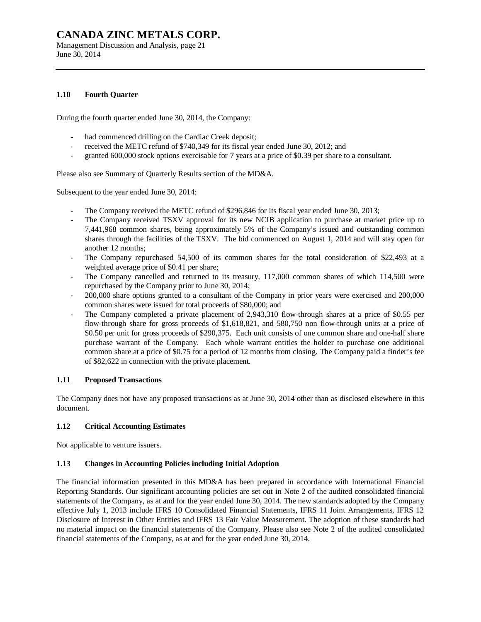Management Discussion and Analysis, page 21 June 30, 2014

## **1.10 Fourth Quarter**

During the fourth quarter ended June 30, 2014, the Company:

- had commenced drilling on the Cardiac Creek deposit;
- received the METC refund of \$740,349 for its fiscal year ended June 30, 2012; and
- granted 600,000 stock options exercisable for 7 years at a price of \$0.39 per share to a consultant.

Please also see Summary of Quarterly Results section of the MD&A.

Subsequent to the year ended June 30, 2014:

- The Company received the METC refund of \$296,846 for its fiscal year ended June 30, 2013;
- The Company received TSXV approval for its new NCIB application to purchase at market price up to 7,441,968 common shares, being approximately 5% of the Company's issued and outstanding common shares through the facilities of the TSXV. The bid commenced on August 1, 2014 and will stay open for another 12 months;
- The Company repurchased 54,500 of its common shares for the total consideration of \$22,493 at a weighted average price of \$0.41 per share;
- The Company cancelled and returned to its treasury, 117,000 common shares of which 114,500 were repurchased by the Company prior to June 30, 2014;
- 200,000 share options granted to a consultant of the Company in prior years were exercised and 200,000 common shares were issued for total proceeds of \$80,000; and
- The Company completed a private placement of 2,943,310 flow-through shares at a price of \$0.55 per flow-through share for gross proceeds of \$1,618,821, and 580,750 non flow-through units at a price of \$0.50 per unit for gross proceeds of \$290,375. Each unit consists of one common share and one-half share purchase warrant of the Company. Each whole warrant entitles the holder to purchase one additional common share at a price of \$0.75 for a period of 12 months from closing. The Company paid a finder's fee of \$82,622 in connection with the private placement.

## **1.11 Proposed Transactions**

The Company does not have any proposed transactions as at June 30, 2014 other than as disclosed elsewhere in this document.

## **1.12 Critical Accounting Estimates**

Not applicable to venture issuers.

## **1.13 Changes in Accounting Policies including Initial Adoption**

The financial information presented in this MD&A has been prepared in accordance with International Financial Reporting Standards. Our significant accounting policies are set out in Note 2 of the audited consolidated financial statements of the Company, as at and for the year ended June 30, 2014. The new standards adopted by the Company effective July 1, 2013 include IFRS 10 Consolidated Financial Statements, IFRS 11 Joint Arrangements, IFRS 12 Disclosure of Interest in Other Entities and IFRS 13 Fair Value Measurement. The adoption of these standards had no material impact on the financial statements of the Company. Please also see Note 2 of the audited consolidated financial statements of the Company, as at and for the year ended June 30, 2014.